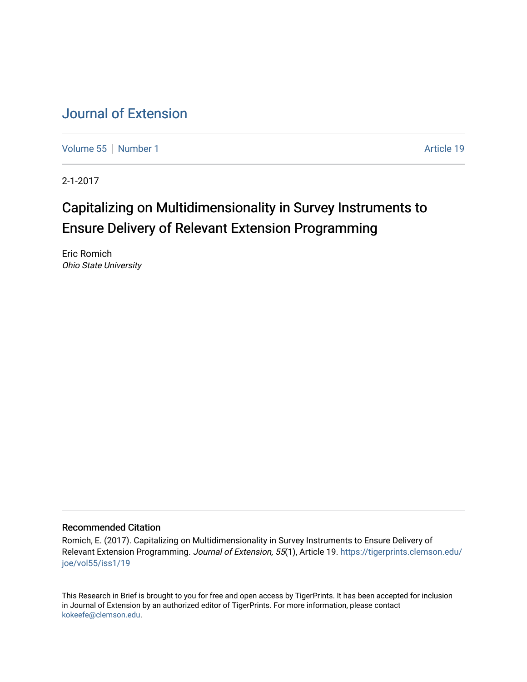# [Journal of Extension](https://tigerprints.clemson.edu/joe)

[Volume 55](https://tigerprints.clemson.edu/joe/vol55) [Number 1](https://tigerprints.clemson.edu/joe/vol55/iss1) Article 19

2-1-2017

# Capitalizing on Multidimensionality in Survey Instruments to Ensure Delivery of Relevant Extension Programming

Eric Romich Ohio State University

### Recommended Citation

Romich, E. (2017). Capitalizing on Multidimensionality in Survey Instruments to Ensure Delivery of Relevant Extension Programming. Journal of Extension, 55(1), Article 19. [https://tigerprints.clemson.edu/](https://tigerprints.clemson.edu/joe/vol55/iss1/19) [joe/vol55/iss1/19](https://tigerprints.clemson.edu/joe/vol55/iss1/19)

This Research in Brief is brought to you for free and open access by TigerPrints. It has been accepted for inclusion in Journal of Extension by an authorized editor of TigerPrints. For more information, please contact [kokeefe@clemson.edu](mailto:kokeefe@clemson.edu).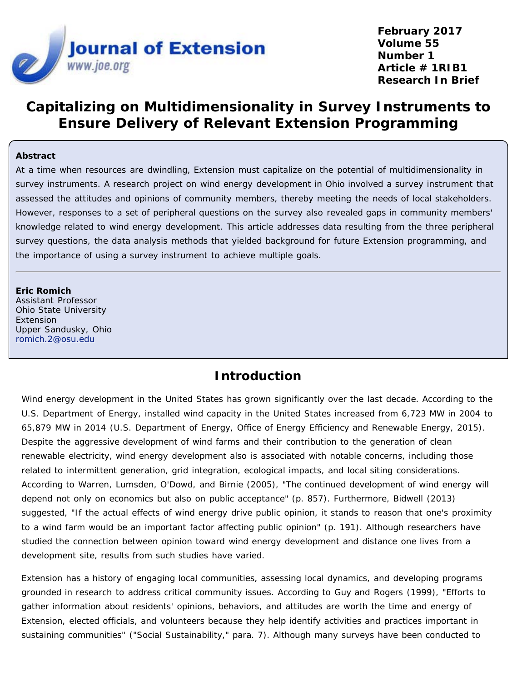

**February 2017 Volume 55 Number 1 Article # 1RIB1 Research In Brief**

# **Capitalizing on Multidimensionality in Survey Instruments to Ensure Delivery of Relevant Extension Programming**

### **Abstract**

At a time when resources are dwindling, Extension must capitalize on the potential of multidimensionality in survey instruments. A research project on wind energy development in Ohio involved a survey instrument that assessed the attitudes and opinions of community members, thereby meeting the needs of local stakeholders. However, responses to a set of peripheral questions on the survey also revealed gaps in community members' knowledge related to wind energy development. This article addresses data resulting from the three peripheral survey questions, the data analysis methods that yielded background for future Extension programming, and the importance of using a survey instrument to achieve multiple goals.

#### **Eric Romich**

Assistant Professor Ohio State University Extension Upper Sandusky, Ohio [romich.2@osu.edu](mailto:romich.2@osu.edu)

### **Introduction**

Wind energy development in the United States has grown significantly over the last decade. According to the U.S. Department of Energy, installed wind capacity in the United States increased from 6,723 MW in 2004 to 65,879 MW in 2014 (U.S. Department of Energy, Office of Energy Efficiency and Renewable Energy, 2015). Despite the aggressive development of wind farms and their contribution to the generation of clean renewable electricity, wind energy development also is associated with notable concerns, including those related to intermittent generation, grid integration, ecological impacts, and local siting considerations. According to Warren, Lumsden, O'Dowd, and Birnie (2005), "The continued development of wind energy will depend not only on economics but also on public acceptance" (p. 857). Furthermore, Bidwell (2013) suggested, "If the actual effects of wind energy drive public opinion, it stands to reason that one's proximity to a wind farm would be an important factor affecting public opinion" (p. 191). Although researchers have studied the connection between opinion toward wind energy development and distance one lives from a development site, results from such studies have varied.

Extension has a history of engaging local communities, assessing local dynamics, and developing programs grounded in research to address critical community issues. According to Guy and Rogers (1999), "Efforts to gather information about residents' opinions, behaviors, and attitudes are worth the time and energy of Extension, elected officials, and volunteers because they help identify activities and practices important in sustaining communities" ("Social Sustainability," para. 7). Although many surveys have been conducted to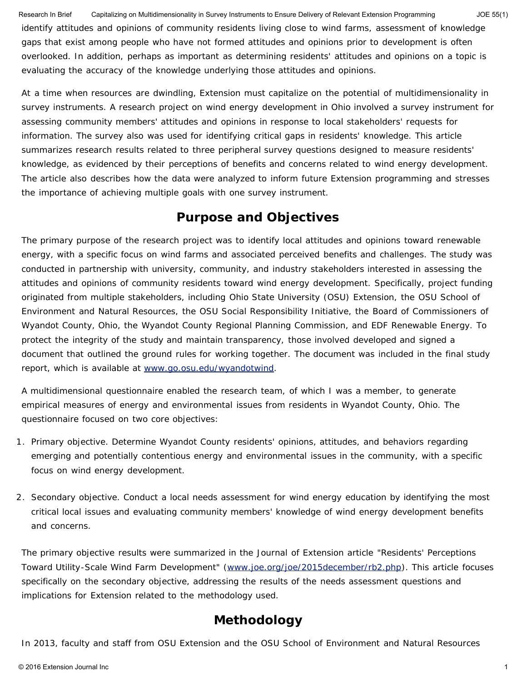identify attitudes and opinions of community residents living close to wind farms, assessment of knowledge gaps that exist among people who have not formed attitudes and opinions prior to development is often overlooked. In addition, perhaps as important as determining residents' attitudes and opinions on a topic is evaluating the accuracy of the knowledge underlying those attitudes and opinions. Research In Brief Capitalizing on Multidimensionality in Survey Instruments to Ensure Delivery of Relevant Extension Programming JOE 55(1)

At a time when resources are dwindling, Extension must capitalize on the potential of multidimensionality in survey instruments. A research project on wind energy development in Ohio involved a survey instrument for assessing community members' attitudes and opinions in response to local stakeholders' requests for information. The survey also was used for identifying critical gaps in residents' knowledge. This article summarizes research results related to three peripheral survey questions designed to measure residents' knowledge, as evidenced by their perceptions of benefits and concerns related to wind energy development. The article also describes how the data were analyzed to inform future Extension programming and stresses the importance of achieving multiple goals with one survey instrument.

# **Purpose and Objectives**

The primary purpose of the research project was to identify local attitudes and opinions toward renewable energy, with a specific focus on wind farms and associated perceived benefits and challenges. The study was conducted in partnership with university, community, and industry stakeholders interested in assessing the attitudes and opinions of community residents toward wind energy development. Specifically, project funding originated from multiple stakeholders, including Ohio State University (OSU) Extension, the OSU School of Environment and Natural Resources, the OSU Social Responsibility Initiative, the Board of Commissioners of Wyandot County, Ohio, the Wyandot County Regional Planning Commission, and EDF Renewable Energy. To protect the integrity of the study and maintain transparency, those involved developed and signed a document that outlined the ground rules for working together. The document was included in the final study report, which is available at [www.go.osu.edu/wyandotwind.](http://www.go.osu.edu/wyandotwind)

A multidimensional questionnaire enabled the research team, of which I was a member, to generate empirical measures of energy and environmental issues from residents in Wyandot County, Ohio. The questionnaire focused on two core objectives:

- 1. *Primary objective.* Determine Wyandot County residents' opinions, attitudes, and behaviors regarding emerging and potentially contentious energy and environmental issues in the community, with a specific focus on wind energy development.
- 2. *Secondary objective.* Conduct a local needs assessment for wind energy education by identifying the most critical local issues and evaluating community members' knowledge of wind energy development benefits and concerns.

The primary objective results were summarized in the *Journal of Extension* article "Residents' Perceptions Toward Utility-Scale Wind Farm Development" [\(www.joe.org/joe/2015december/rb2.php\)](https://www.joe.org/joe/2015december/rb2.php). This article focuses specifically on the secondary objective, addressing the results of the needs assessment questions and implications for Extension related to the methodology used.

# **Methodology**

In 2013, faculty and staff from OSU Extension and the OSU School of Environment and Natural Resources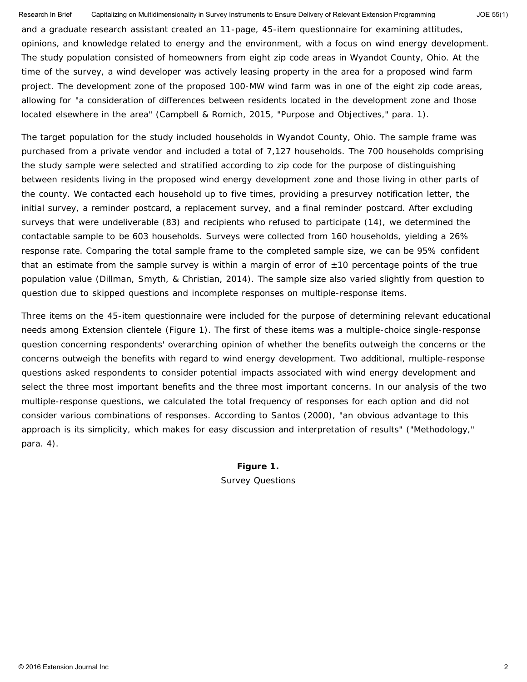Research In Brief Capitalizing on Multidimensionality in Survey Instruments to Ensure Delivery of Relevant Extension Programming JOE 55(1)

and a graduate research assistant created an 11-page, 45-item questionnaire for examining attitudes, opinions, and knowledge related to energy and the environment, with a focus on wind energy development. The study population consisted of homeowners from eight zip code areas in Wyandot County, Ohio. At the time of the survey, a wind developer was actively leasing property in the area for a proposed wind farm project. The development zone of the proposed 100-MW wind farm was in one of the eight zip code areas, allowing for "a consideration of differences between residents located in the development zone and those located elsewhere in the area" (Campbell & Romich, 2015, "Purpose and Objectives," para. 1).

The target population for the study included households in Wyandot County, Ohio. The sample frame was purchased from a private vendor and included a total of 7,127 households. The 700 households comprising the study sample were selected and stratified according to zip code for the purpose of distinguishing between residents living in the proposed wind energy development zone and those living in other parts of the county. We contacted each household up to five times, providing a presurvey notification letter, the initial survey, a reminder postcard, a replacement survey, and a final reminder postcard. After excluding surveys that were undeliverable (83) and recipients who refused to participate (14), we determined the contactable sample to be 603 households. Surveys were collected from 160 households, yielding a 26% response rate. Comparing the total sample frame to the completed sample size, we can be 95% confident that an estimate from the sample survey is within a margin of error of  $\pm$ 10 percentage points of the true population value (Dillman, Smyth, & Christian, 2014). The sample size also varied slightly from question to question due to skipped questions and incomplete responses on multiple-response items.

Three items on the 45-item questionnaire were included for the purpose of determining relevant educational needs among Extension clientele (Figure 1). The first of these items was a multiple-choice single-response question concerning respondents' overarching opinion of whether the benefits outweigh the concerns or the concerns outweigh the benefits with regard to wind energy development. Two additional, multiple-response questions asked respondents to consider potential impacts associated with wind energy development and select the three most important benefits and the three most important concerns. In our analysis of the two multiple-response questions, we calculated the total frequency of responses for each option and did not consider various combinations of responses. According to Santos (2000), "an obvious advantage to this approach is its simplicity, which makes for easy discussion and interpretation of results" ("Methodology," para. 4).

> **Figure 1.** Survey Questions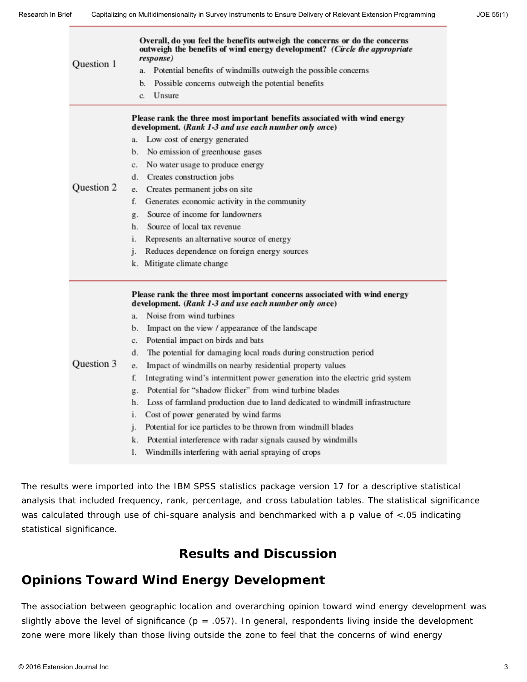| Question 1 | Overall, do you feel the benefits outweigh the concerns or do the concerns<br>outweigh the benefits of wind energy development? (Circle the appropriate<br>response)<br>Potential benefits of windmills outweigh the possible concerns<br>a.<br>b.<br>Possible concerns outweigh the potential benefits<br>Unsure<br>c.                                                                                                                                                                                                                                                                                                                                                                                                                                                                                                                                                                                                                       |
|------------|-----------------------------------------------------------------------------------------------------------------------------------------------------------------------------------------------------------------------------------------------------------------------------------------------------------------------------------------------------------------------------------------------------------------------------------------------------------------------------------------------------------------------------------------------------------------------------------------------------------------------------------------------------------------------------------------------------------------------------------------------------------------------------------------------------------------------------------------------------------------------------------------------------------------------------------------------|
| Question 2 | Please rank the three most important benefits associated with wind energy<br>development. (Rank 1-3 and use each number only once)<br>Low cost of energy generated<br>a.<br>No emission of greenhouse gases<br>b.<br>No water usage to produce energy<br>c.<br>Creates construction jobs<br>d.<br>Creates permanent jobs on site<br>e.<br>Generates economic activity in the community<br>f.<br>Source of income for landowners<br>g.<br>Source of local tax revenue<br>h.<br>Represents an alternative source of energy<br>i.<br>Reduces dependence on foreign energy sources<br>j.<br>k. Mitigate climate change                                                                                                                                                                                                                                                                                                                            |
| Question 3 | Please rank the three most important concerns associated with wind energy<br>development. (Rank 1-3 and use each number only once)<br>Noise from wind turbines<br>a.<br>Impact on the view / appearance of the landscape<br>b.<br>Potential impact on birds and bats<br>c.<br>The potential for damaging local roads during construction period<br>d.<br>Impact of windmills on nearby residential property values<br>e.<br>Integrating wind's intermittent power generation into the electric grid system<br>f.<br>Potential for "shadow flicker" from wind turbine blades<br>g.<br>Loss of farmland production due to land dedicated to windmill infrastructure<br>h.<br>Cost of power generated by wind farms<br>i.<br>Potential for ice particles to be thrown from windmill blades<br>$\mathbf{1}$ .<br>Potential interference with radar signals caused by windmills<br>k.<br>Windmills interfering with aerial spraying of crops<br>l. |

The results were imported into the IBM SPSS statistics package version 17 for a descriptive statistical analysis that included frequency, rank, percentage, and cross tabulation tables. The statistical significance was calculated through use of chi-square analysis and benchmarked with a *p* value of <.05 indicating statistical significance.

### **Results and Discussion**

## **Opinions Toward Wind Energy Development**

The association between geographic location and overarching opinion toward wind energy development was slightly above the level of significance ( $p = .057$ ). In general, respondents living inside the development zone were more likely than those living outside the zone to feel that the concerns of wind energy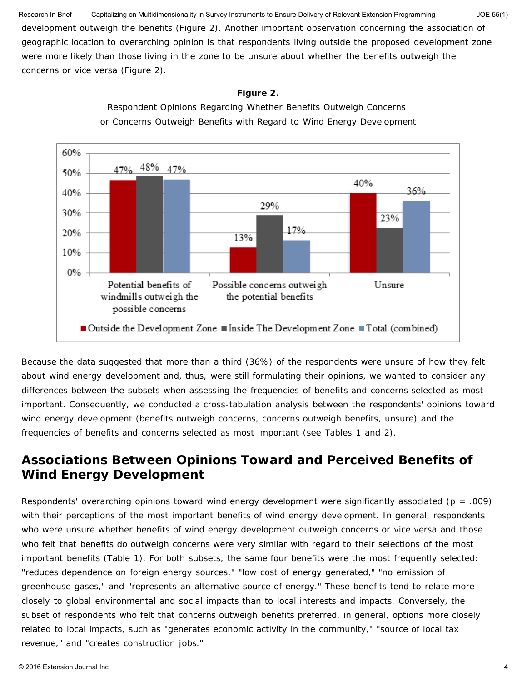development outweigh the benefits (Figure 2). Another important observation concerning the association of geographic location to overarching opinion is that respondents living outside the proposed development zone were more likely than those living in the zone to be unsure about whether the benefits outweigh the concerns or vice versa (Figure 2). Research In Brief Capitalizing on Multidimensionality in Survey Instruments to Ensure Delivery of Relevant Extension Programming JOE 55(1)

#### **Figure 2.**



Respondent Opinions Regarding Whether Benefits Outweigh Concerns or Concerns Outweigh Benefits with Regard to Wind Energy Development

Because the data suggested that more than a third (36%) of the respondents were unsure of how they felt about wind energy development and, thus, were still formulating their opinions, we wanted to consider any differences between the subsets when assessing the frequencies of benefits and concerns selected as most important. Consequently, we conducted a cross-tabulation analysis between the respondents' opinions toward wind energy development (benefits outweigh concerns, concerns outweigh benefits, unsure) and the frequencies of benefits and concerns selected as most important (see Tables 1 and 2).

# **Associations Between Opinions Toward and Perceived Benefits of Wind Energy Development**

Respondents' overarching opinions toward wind energy development were significantly associated (*p* = .009) with their perceptions of the most important benefits of wind energy development. In general, respondents who were unsure whether benefits of wind energy development outweigh concerns or vice versa and those who felt that benefits do outweigh concerns were very similar with regard to their selections of the most important benefits (Table 1). For both subsets, the same four benefits were the most frequently selected: "reduces dependence on foreign energy sources," "low cost of energy generated," "no emission of greenhouse gases," and "represents an alternative source of energy." These benefits tend to relate more closely to global environmental and social impacts than to local interests and impacts. Conversely, the subset of respondents who felt that concerns outweigh benefits preferred, in general, options more closely related to local impacts, such as "generates economic activity in the community," "source of local tax revenue," and "creates construction jobs."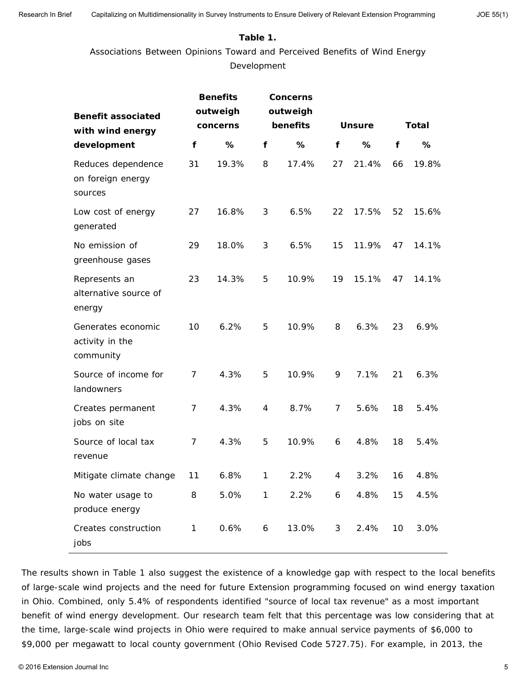### **Table 1.**

Associations Between Opinions Toward and Perceived Benefits of Wind Energy Development

| <b>Benefit associated</b><br>with wind energy      |                | <b>Benefits</b><br>outweigh<br>concerns |              | <b>Concerns</b><br>outweigh<br>benefits |    | <b>Unsure</b> | <b>Total</b> |       |
|----------------------------------------------------|----------------|-----------------------------------------|--------------|-----------------------------------------|----|---------------|--------------|-------|
| development                                        | f              | %                                       | f            | %                                       | f  | %             | f            | %     |
| Reduces dependence<br>on foreign energy<br>sources | 31             | 19.3%                                   | 8            | 17.4%                                   | 27 | 21.4%         | 66           | 19.8% |
| Low cost of energy<br>generated                    | 27             | 16.8%                                   | 3            | 6.5%                                    | 22 | 17.5%         | 52           | 15.6% |
| No emission of<br>greenhouse gases                 | 29             | 18.0%                                   | 3            | 6.5%                                    | 15 | 11.9%         | 47           | 14.1% |
| Represents an<br>alternative source of<br>energy   | 23             | 14.3%                                   | 5            | 10.9%                                   | 19 | 15.1%         | 47           | 14.1% |
| Generates economic<br>activity in the<br>community | 10             | 6.2%                                    | 5            | 10.9%                                   | 8  | 6.3%          | 23           | 6.9%  |
| Source of income for<br>landowners                 | 7              | 4.3%                                    | 5            | 10.9%                                   | 9  | 7.1%          | 21           | 6.3%  |
| Creates permanent<br>jobs on site                  | 7              | 4.3%                                    | 4            | 8.7%                                    | 7  | 5.6%          | 18           | 5.4%  |
| Source of local tax<br>revenue                     | $\overline{7}$ | 4.3%                                    | 5            | 10.9%                                   | 6  | 4.8%          | 18           | 5.4%  |
| Mitigate climate change                            | 11             | 6.8%                                    | $\mathbf{1}$ | 2.2%                                    | 4  | 3.2%          | 16           | 4.8%  |
| No water usage to<br>produce energy                | 8              | 5.0%                                    | $\mathbf{1}$ | 2.2%                                    | 6  | 4.8%          | 15           | 4.5%  |
| Creates construction<br>jobs                       | 1              | 0.6%                                    | 6            | 13.0%                                   | 3  | 2.4%          | 10           | 3.0%  |

The results shown in Table 1 also suggest the existence of a knowledge gap with respect to the local benefits of large-scale wind projects and the need for future Extension programming focused on wind energy taxation in Ohio. Combined, only 5.4% of respondents identified "source of local tax revenue" as a most important benefit of wind energy development. Our research team felt that this percentage was low considering that at the time, large-scale wind projects in Ohio were required to make annual service payments of \$6,000 to \$9,000 per megawatt to local county government (Ohio Revised Code 5727.75). For example, in 2013, the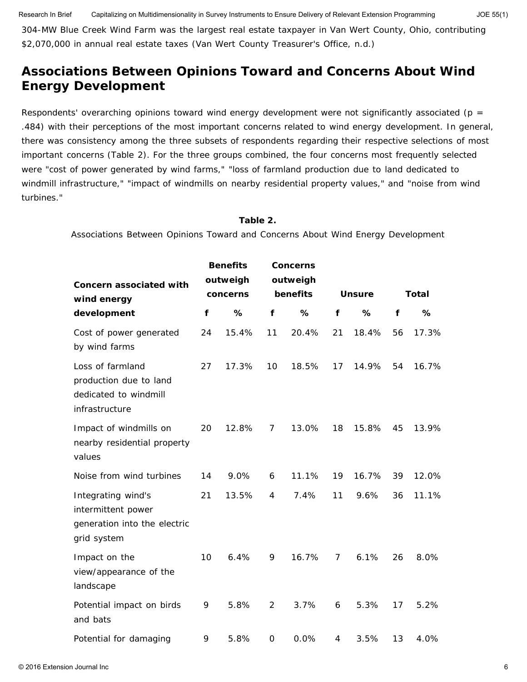304-MW Blue Creek Wind Farm was the largest real estate taxpayer in Van Wert County, Ohio, contributing \$2,070,000 in annual real estate taxes (Van Wert County Treasurer's Office, n.d.)

# **Associations Between Opinions Toward and Concerns About Wind Energy Development**

Respondents' overarching opinions toward wind energy development were not significantly associated (*p* = .484) with their perceptions of the most important concerns related to wind energy development. In general, there was consistency among the three subsets of respondents regarding their respective selections of most important concerns (Table 2). For the three groups combined, the four concerns most frequently selected were "cost of power generated by wind farms," "loss of farmland production due to land dedicated to windmill infrastructure," "impact of windmills on nearby residential property values," and "noise from wind turbines."

#### **Table 2.**

Associations Between Opinions Toward and Concerns About Wind Energy Development

| <b>Concern associated with</b><br>wind energy                                           | <b>Benefits</b><br>outweigh<br>concerns |       |                | <b>Concerns</b><br>outweigh<br>benefits |                | <b>Unsure</b> | <b>Total</b> |       |
|-----------------------------------------------------------------------------------------|-----------------------------------------|-------|----------------|-----------------------------------------|----------------|---------------|--------------|-------|
| development                                                                             | f                                       | %     | f              | %                                       | f              | %             | f            | %     |
| Cost of power generated<br>by wind farms                                                | 24                                      | 15.4% | 11             | 20.4%                                   | 21             | 18.4%         | 56           | 17.3% |
| Loss of farmland<br>production due to land<br>dedicated to windmill<br>infrastructure   | 27                                      | 17.3% | 10             | 18.5%                                   | 17             | 14.9%         | 54           | 16.7% |
| Impact of windmills on<br>nearby residential property<br>values                         | 20                                      | 12.8% | 7              | 13.0%                                   | 18             | 15.8%         | 45           | 13.9% |
| Noise from wind turbines                                                                | 14                                      | 9.0%  | 6              | 11.1%                                   | 19             | 16.7%         | 39           | 12.0% |
| Integrating wind's<br>intermittent power<br>generation into the electric<br>grid system | 21                                      | 13.5% | 4              | 7.4%                                    | 11             | 9.6%          | 36           | 11.1% |
| Impact on the<br>view/appearance of the<br>landscape                                    | 10                                      | 6.4%  | 9              | 16.7%                                   | $\overline{7}$ | 6.1%          | 26           | 8.0%  |
| Potential impact on birds<br>and bats                                                   | 9                                       | 5.8%  | $\overline{2}$ | 3.7%                                    | 6              | 5.3%          | 17           | 5.2%  |
| Potential for damaging                                                                  | 9                                       | 5.8%  | 0              | 0.0%                                    | 4              | 3.5%          | 13           | 4.0%  |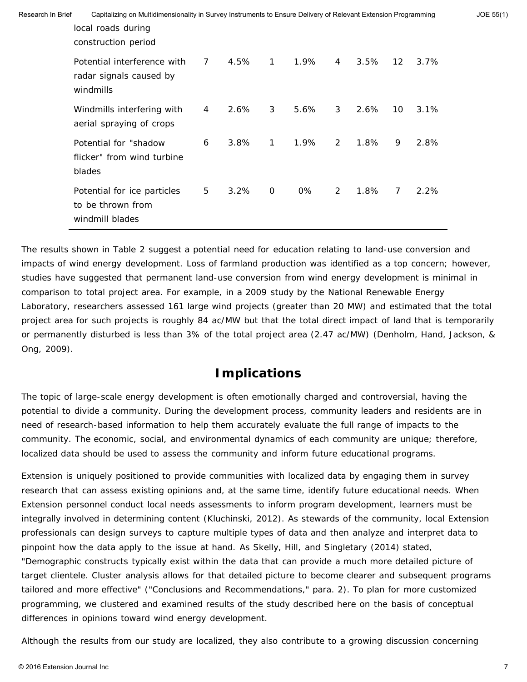| Research In Brief | Capitalizing on Multidimensionality in Survey Instruments to Ensure Delivery of Relevant Extension Programming<br>local roads during<br>construction period |                |      |                |      |   |      |                   | JOE 55(1) |  |
|-------------------|-------------------------------------------------------------------------------------------------------------------------------------------------------------|----------------|------|----------------|------|---|------|-------------------|-----------|--|
|                   | Potential interference with<br>radar signals caused by<br>windmills                                                                                         | 7 <sup>7</sup> | 4.5% | $\overline{1}$ | 1.9% | 4 | 3.5% | $12 \overline{ }$ | 3.7%      |  |
|                   | Windmills interfering with<br>aerial spraying of crops                                                                                                      | $\overline{4}$ | 2.6% | 3 <sup>7</sup> | 5.6% | 3 | 2.6% | 10                | 3.1%      |  |
|                   | Potential for "shadow"<br>flicker" from wind turbine<br>blades                                                                                              | 6              | 3.8% | $\mathbf{1}$   | 1.9% | 2 | 1.8% | 9                 | 2.8%      |  |
|                   | Potential for ice particles<br>to be thrown from<br>windmill blades                                                                                         | 5              | 3.2% | $\overline{0}$ | 0%   | 2 | 1.8% | $\overline{7}$    | 2.2%      |  |

The results shown in Table 2 suggest a potential need for education relating to land-use conversion and impacts of wind energy development. Loss of farmland production was identified as a top concern; however, studies have suggested that permanent land-use conversion from wind energy development is minimal in comparison to total project area. For example, in a 2009 study by the National Renewable Energy Laboratory, researchers assessed 161 large wind projects (greater than 20 MW) and estimated that the total project area for such projects is roughly 84 ac/MW but that the total direct impact of land that is temporarily or permanently disturbed is less than 3% of the total project area (2.47 ac/MW) (Denholm, Hand, Jackson, & Ong, 2009).

# **Implications**

The topic of large-scale energy development is often emotionally charged and controversial, having the potential to divide a community. During the development process, community leaders and residents are in need of research-based information to help them accurately evaluate the full range of impacts to the community. The economic, social, and environmental dynamics of each community are unique; therefore, localized data should be used to assess the community and inform future educational programs.

Extension is uniquely positioned to provide communities with localized data by engaging them in survey research that can assess existing opinions and, at the same time, identify future educational needs. When Extension personnel conduct local needs assessments to inform program development, learners must be integrally involved in determining content (Kluchinski, 2012). As stewards of the community, local Extension professionals can design surveys to capture multiple types of data and then analyze and interpret data to pinpoint how the data apply to the issue at hand. As Skelly, Hill, and Singletary (2014) stated, "Demographic constructs typically exist within the data that can provide a much more detailed picture of target clientele. Cluster analysis allows for that detailed picture to become clearer and subsequent programs tailored and more effective" ("Conclusions and Recommendations," para. 2). To plan for more customized programming, we clustered and examined results of the study described here on the basis of conceptual differences in opinions toward wind energy development.

Although the results from our study are localized, they also contribute to a growing discussion concerning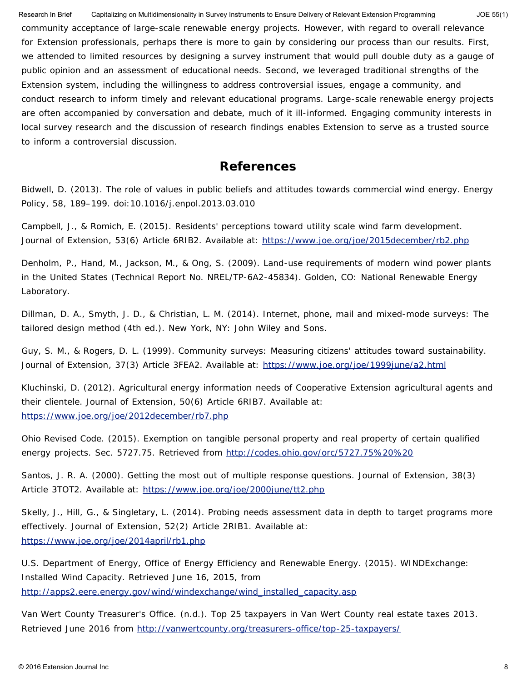community acceptance of large-scale renewable energy projects. However, with regard to overall relevance for Extension professionals, perhaps there is more to gain by considering our process than our results. First, we attended to limited resources by designing a survey instrument that would pull double duty as a gauge of public opinion and an assessment of educational needs. Second, we leveraged traditional strengths of the Extension system, including the willingness to address controversial issues, engage a community, and conduct research to inform timely and relevant educational programs. Large-scale renewable energy projects are often accompanied by conversation and debate, much of it ill-informed. Engaging community interests in local survey research and the discussion of research findings enables Extension to serve as a trusted source to inform a controversial discussion. Research In Brief Capitalizing on Multidimensionality in Survey Instruments to Ensure Delivery of Relevant Extension Programming JOE 55(1)

### **References**

Bidwell, D. (2013). The role of values in public beliefs and attitudes towards commercial wind energy. *Energy Policy*, *58*, 189–199. doi:10.1016/j.enpol.2013.03.010

Campbell, J., & Romich, E. (2015). Residents' perceptions toward utility scale wind farm development. *Journal of Extension*, *53*(6) Article 6RIB2. Available at: <https://www.joe.org/joe/2015december/rb2.php>

Denholm, P., Hand, M., Jackson, M., & Ong, S. (2009). *Land-use requirements of modern wind power plants in the United States* (Technical Report No. NREL/TP-6A2-45834). Golden, CO: National Renewable Energy Laboratory.

Dillman, D. A., Smyth, J. D., & Christian, L. M. (2014). *Internet, phone, mail and mixed-mode surveys: The tailored design method* (4th ed.). New York, NY: John Wiley and Sons.

Guy, S. M., & Rogers, D. L. (1999). Community surveys: Measuring citizens' attitudes toward sustainability. *Journal of Extension*, *37*(3) Article 3FEA2. Available at: <https://www.joe.org/joe/1999june/a2.html>

Kluchinski, D. (2012). Agricultural energy information needs of Cooperative Extension agricultural agents and their clientele. *Journal of Extension*, *50*(6) Article 6RIB7. Available at: <https://www.joe.org/joe/2012december/rb7.php>

Ohio Revised Code. (2015). Exemption on tangible personal property and real property of certain qualified energy projects. Sec. 5727.75. Retrieved from <http://codes.ohio.gov/orc/5727.75%20%20>

Santos, J. R. A. (2000). Getting the most out of multiple response questions. *Journal of Extension*, *38*(3) Article 3TOT2. Available at: <https://www.joe.org/joe/2000june/tt2.php>

Skelly, J., Hill, G., & Singletary, L. (2014). Probing needs assessment data in depth to target programs more effectively. *Journal of Extension*, *52*(2) Article 2RIB1. Available at: <https://www.joe.org/joe/2014april/rb1.php>

U.S. Department of Energy, Office of Energy Efficiency and Renewable Energy. (2015). *WINDExchange: Installed Wind Capacity*. Retrieved June 16, 2015, from [http://apps2.eere.energy.gov/wind/windexchange/wind\\_installed\\_capacity.asp](http://apps2.eere.energy.gov/wind/windexchange/wind_installed_capacity.asp)

Van Wert County Treasurer's Office. (n.d.). *Top 25 taxpayers in Van Wert County real estate taxes 2013*. Retrieved June 2016 from <http://vanwertcounty.org/treasurers-office/top-25-taxpayers/>